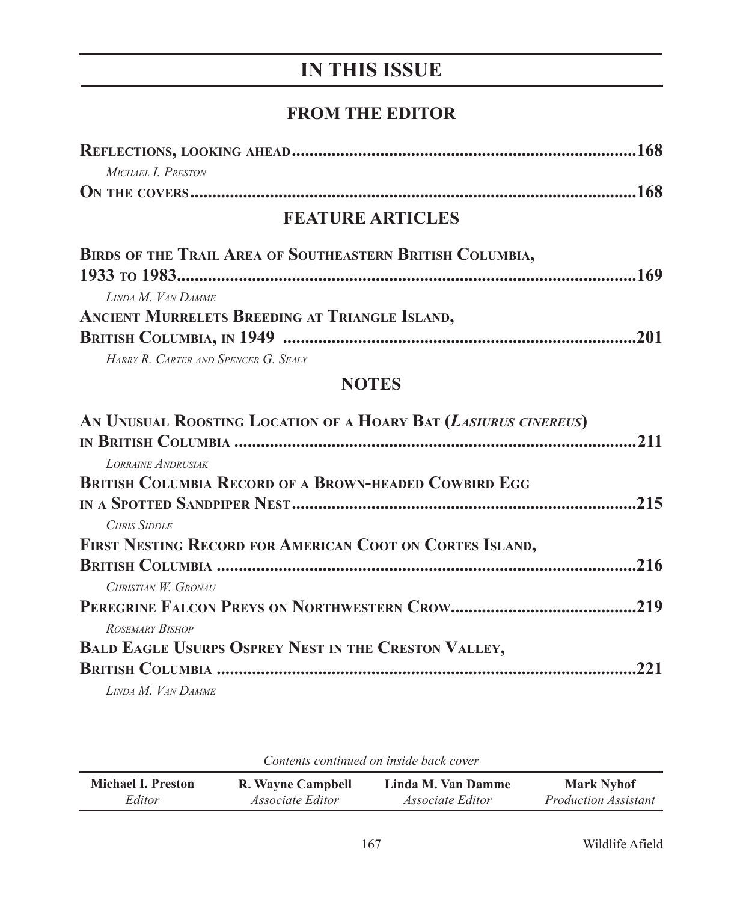# **IN THIS ISSUE**

### **FROM THE EDITOR**

| Michael I. Preston |  |
|--------------------|--|
|                    |  |

## **FEATURE ARTICLES**

| BIRDS OF THE TRAIL AREA OF SOUTHEASTERN BRITISH COLUMBIA, |  |
|-----------------------------------------------------------|--|
|                                                           |  |
| LINDA M. VAN DAMME                                        |  |
| ANCIENT MURRELETS BREEDING AT TRIANGLE ISLAND,            |  |
|                                                           |  |
| HARRY R. CARTER AND SPENCER G. SEALY                      |  |

#### **NOTES**

| AN UNUSUAL ROOSTING LOCATION OF A HOARY BAT (LASIURUS CINEREUS) |      |
|-----------------------------------------------------------------|------|
|                                                                 |      |
| LORRAINE ANDRUSIAK                                              |      |
| <b>BRITISH COLUMBIA RECORD OF A BROWN-HEADED COWBIRD EGG</b>    |      |
|                                                                 |      |
| <b>CHRIS SIDDLE</b>                                             |      |
| FIRST NESTING RECORD FOR AMERICAN COOT ON CORTES ISLAND,        |      |
|                                                                 | .216 |
| CHRISTIAN W. GRONAU                                             |      |
|                                                                 |      |
| ROSEMARY BISHOP                                                 |      |
| <b>BALD EAGLE USURPS OSPREY NEST IN THE CRESTON VALLEY,</b>     |      |
|                                                                 |      |
| LINDA M. VAN DAMME                                              |      |

*Contents continued on inside back cover*

| <b>Michael I. Preston</b> | R. Wayne Campbell       | Linda M. Van Damme      | <b>Mark Nyhof</b>           |
|---------------------------|-------------------------|-------------------------|-----------------------------|
| Editor                    | <i>Associate Editor</i> | <i>Associate Editor</i> | <i>Production Assistant</i> |